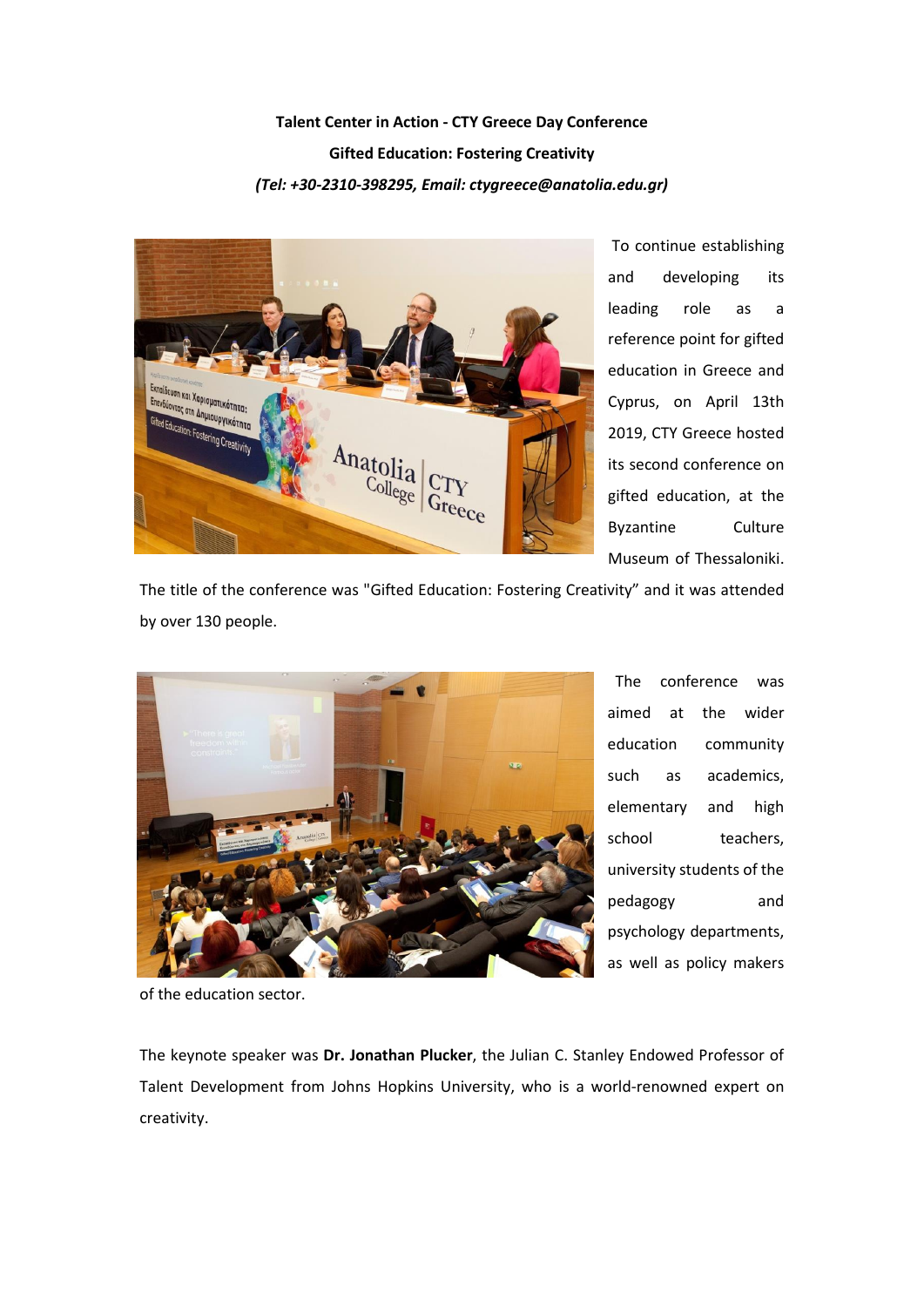



To continue establishing and developing its leading role as a reference point for gifted education in Greece and Cyprus, on April 13th 2019, CTY Greece hosted its second conference on gifted education, at the Byzantine Culture Museum of Thessaloniki.

The title of the conference was "Gifted Education: Fostering Creativity" and it was attended by over 130 people.



The conference was aimed at the wider education community such as academics, elementary and high school teachers, university students of the pedagogy and psychology departments, as well as policy makers

of the education sector.

The keynote speaker was **Dr. Jonathan Plucker**, the Julian C. Stanley Endowed Professor of Talent Development from Johns Hopkins University, who is a world-renowned expert on creativity.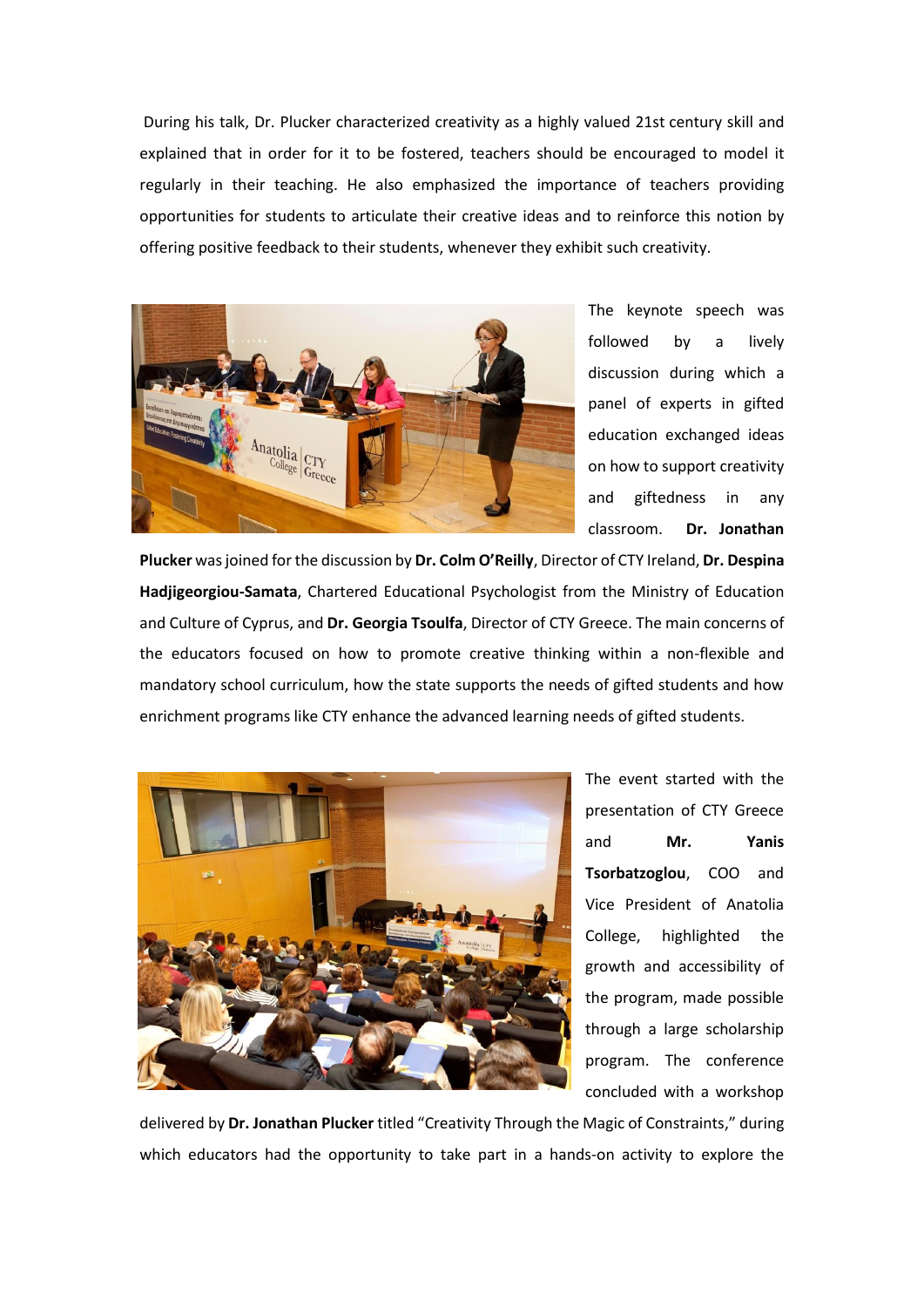During his talk, Dr. Plucker characterized creativity as a highly valued 21st century skill and explained that in order for it to be fostered, teachers should be encouraged to model it regularly in their teaching. He also emphasized the importance of teachers providing opportunities for students to articulate their creative ideas and to reinforce this notion by offering positive feedback to their students, whenever they exhibit such creativity.



The keynote speech was followed by a lively discussion during which a panel of experts in gifted education exchanged ideas on how to support creativity and giftedness in any classroom. **Dr. Jonathan** 

**Plucker** was joined for the discussion by **Dr. Colm O'Reilly**, Director of CTY Ireland, **Dr. Despina Hadjigeorgiou-Samata**, Chartered Educational Psychologist from the Ministry of Education and Culture of Cyprus, and **Dr. Georgia Tsoulfa**, Director of CTY Greece. The main concerns of the educators focused on how to promote creative thinking within a non-flexible and mandatory school curriculum, how the state supports the needs of gifted students and how enrichment programs like CTY enhance the advanced learning needs of gifted students.



The event started with the presentation of CTY Greece and **Mr. [Yanis](https://anatolia.edu.gr/images/Institutional/Leadership/tsorbatzoglou_bio.pdf)  [Tsorbatzoglou](https://anatolia.edu.gr/images/Institutional/Leadership/tsorbatzoglou_bio.pdf)**, COO and Vice President of Anatolia College, highlighted the growth and accessibility of the program, made possible through a large scholarship program. The conference concluded with a workshop

delivered by **Dr. Jonathan Plucker** titled "Creativity Through the Magic of Constraints," during which educators had the opportunity to take part in a hands-on activity to explore the